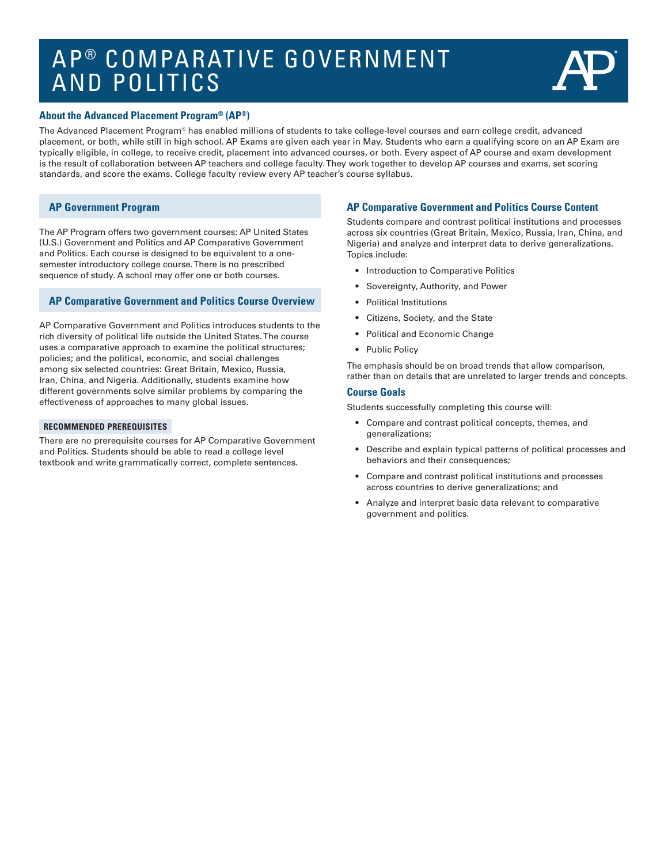# AP ® COMPARATIVE GOVERNMENT AND POLITICS



#### **About the Advanced Placement Program® (AP®)**

The Advanced Placement Program® has enabled millions of students to take college-level courses and earn college credit, advanced placement, or both, while still in high school. AP Exams are given each year in May. Students who earn a qualifying score on an AP Exam are typically eligible, in college, to receive credit, placement into advanced courses, or both. Every aspect of AP course and exam development is the result of collaboration between AP teachers and college faculty. They work together to develop AP courses and exams, set scoring standards, and score the exams. College faculty review every AP teacher's course syllabus.

### **AP Government Program**

The AP Program offers two government courses: AP United States (U.S.) Government and Politics and AP Comparative Government and Politics. Each course is designed to be equivalent to a onesemester introductory college course. There is no prescribed sequence of study. A school may offer one or both courses.

### **AP Comparative Government and Politics Course Overview**

AP Comparative Government and Politics introduces students to the rich diversity of political life outside the United States. The course uses a comparative approach to examine the political structures; policies; and the political, economic, and social challenges among six selected countries: Great Britain, Mexico, Russia, Iran, China, and Nigeria. Additionally, students examine how different governments solve similar problems by comparing the effectiveness of approaches to many global issues.

#### **RECOMMENDED PREREQUISITES**

There are no prerequisite courses for AP Comparative Government and Politics. Students should be able to read a college level textbook and write grammatically correct, complete sentences.

# **AP Comparative Government and Politics Course Content**

Students compare and contrast political institutions and processes across six countries (Great Britain, Mexico, Russia, Iran, China, and Nigeria) and analyze and interpret data to derive generalizations. Topics include:

- Introduction to Comparative Politics
- Sovereignty, Authority, and Power
- Political Institutions
- Citizens, Society, and the State
- Political and Economic Change
- Public Policy

The emphasis should be on broad trends that allow comparison, rather than on details that are unrelated to larger trends and concepts.

#### **Course Goals**

Students successfully completing this course will:

- Compare and contrast political concepts, themes, and generalizations;
- Describe and explain typical patterns of political processes and behaviors and their consequences;
- Compare and contrast political institutions and processes across countries to derive generalizations; and
- Analyze and interpret basic data relevant to comparative government and politics.